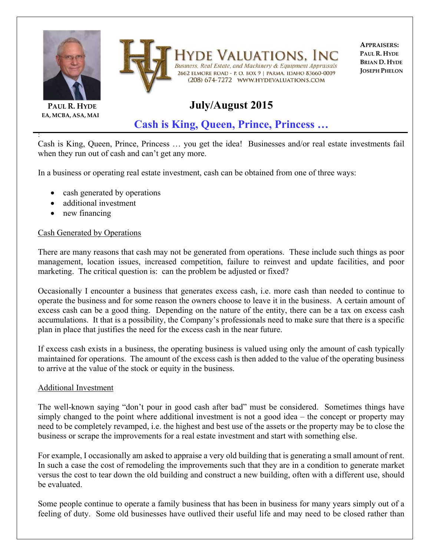



**PAUL R. HYDE EA, MCBA, ASA, MAI**

:

VALUATIONS. Business, Real Estate, and Machinery & Equipment Appraisals 2662 ELMORE ROAD - P. O. BOX 9 | PARMA, IDAHO 83660-0009 (208) 674-7272 WWW.HYDEVALUATIONS.COM

**APPRAISERS: PAUL R. HYDE BRIAN D. HYDE JOSEPH PHELON**

# **July/August 2015**

**Cash is King, Queen, Prince, Princess …**

Cash is King, Queen, Prince, Princess … you get the idea! Businesses and/or real estate investments fail when they run out of cash and can't get any more.

In a business or operating real estate investment, cash can be obtained from one of three ways:

- cash generated by operations
- additional investment
- new financing

## Cash Generated by Operations

There are many reasons that cash may not be generated from operations. These include such things as poor management, location issues, increased competition, failure to reinvest and update facilities, and poor marketing. The critical question is: can the problem be adjusted or fixed?

Occasionally I encounter a business that generates excess cash, i.e. more cash than needed to continue to operate the business and for some reason the owners choose to leave it in the business. A certain amount of excess cash can be a good thing. Depending on the nature of the entity, there can be a tax on excess cash accumulations. It that is a possibility, the Company's professionals need to make sure that there is a specific plan in place that justifies the need for the excess cash in the near future.

If excess cash exists in a business, the operating business is valued using only the amount of cash typically maintained for operations. The amount of the excess cash is then added to the value of the operating business to arrive at the value of the stock or equity in the business.

## Additional Investment

The well-known saying "don't pour in good cash after bad" must be considered. Sometimes things have simply changed to the point where additional investment is not a good idea – the concept or property may need to be completely revamped, i.e. the highest and best use of the assets or the property may be to close the business or scrape the improvements for a real estate investment and start with something else.

For example, I occasionally am asked to appraise a very old building that is generating a small amount of rent. In such a case the cost of remodeling the improvements such that they are in a condition to generate market versus the cost to tear down the old building and construct a new building, often with a different use, should be evaluated.

Some people continue to operate a family business that has been in business for many years simply out of a feeling of duty. Some old businesses have outlived their useful life and may need to be closed rather than